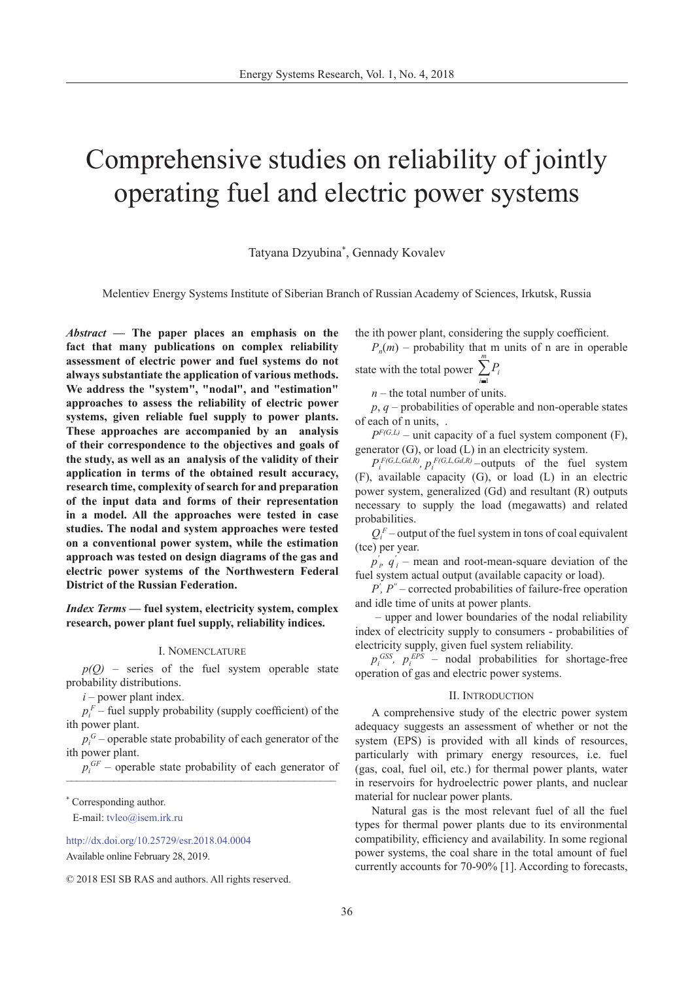# Comprehensive studies on reliability of jointly operating fuel and electric power systems

Tatyana Dzyubina\* , Gennady Kovalev

Melentiev Energy Systems Institute of Siberian Branch of Russian Academy of Sciences, Irkutsk, Russia

*Abstract —* **The paper places an emphasis on the fact that many publications on complex reliability assessment of electric power and fuel systems do not always substantiate the application of various methods. We address the "system", "nodal", and "estimation" approaches to assess the reliability of electric power systems, given reliable fuel supply to power plants. These approaches are accompanied by an analysis of their correspondence to the objectives and goals of the study, as well as an analysis of the validity of their application in terms of the obtained result accuracy, research time, complexity of search for and preparation of the input data and forms of their representation in a model. All the approaches were tested in case studies. The nodal and system approaches were tested on a conventional power system, while the estimation approach was tested on design diagrams of the gas and electric power systems of the Northwestern Federal District of the Russian Federation.**

*Index Terms* **— fuel system, electricity system, complex research, power plant fuel supply, reliability indices.**

## I. Nomenclature

*p(Q)* – series of the fuel system operable state probability distributions.

 $i$  – power plant index.

 $p_i^F$  – fuel supply probability (supply coefficient) of the ith power plant.

 $p_i^G$  – operable state probability of each generator of the ith power plant.

 $p_i^{GF}$  – operable state probability of each generator of

\* Corresponding author.

E-mail[: tvleo@isem.irk.ru](mailto: tvleo@isem.irk.ru )

[http://dx.doi.org/10.25729/esr.2018.04.000](http://dx.doi.org/10.25729/esr.2018.04.0004)4 Available online February 28, 2019.

© 2018 ESI SB RAS and authors. All rights reserved.

the ith power plant, considering the supply coefficient.

 $P_n(m)$  – probability that m units of n are in operable *m*  $\sum_{i=1} P_i$ 

state with the total power 
$$
\sum_{i=1}^{n}
$$

*n* – the total number of units.

*p*, *q* – probabilities of operable and non-operable states of each of n units, .

 $P^{F(G,L)}$  – unit capacity of a fuel system component (F), generator (G), or load (L) in an electricity system.

 $P_i^{F(G,L, G,d,R)}$ ,  $p_i^{F(G,L, G,d,R)}$  –outputs of the fuel system (F), available capacity (G), or load (L) in an electric power system, generalized (Gd) and resultant (R) outputs necessary to supply the load (megawatts) and related probabilities.

 $Q_i^F$  – output of the fuel system in tons of coal equivalent (tce) per year.

 $p'_i$ ,  $q'_i$  – mean and root-mean-square deviation of the fuel system actual output (available capacity or load).

 $P$ <sup>'</sup>,  $P$ <sup>"</sup> – corrected probabilities of failure-free operation and idle time of units at power plants.

 – upper and lower boundaries of the nodal reliability index of electricity supply to consumers - probabilities of electricity supply, given fuel system reliability.

 $p_i^{GSS}$ ,  $p_i^{EPS}$  – nodal probabilities for shortage-free operation of gas and electric power systems.

## II. Introduction

A comprehensive study of the electric power system adequacy suggests an assessment of whether or not the system (EPS) is provided with all kinds of resources, particularly with primary energy resources, i.e. fuel (gas, coal, fuel oil, etc.) for thermal power plants, water in reservoirs for hydroelectric power plants, and nuclear material for nuclear power plants.

Natural gas is the most relevant fuel of all the fuel types for thermal power plants due to its environmental compatibility, efficiency and availability. In some regional power systems, the coal share in the total amount of fuel currently accounts for 70-90% [1]. According to forecasts,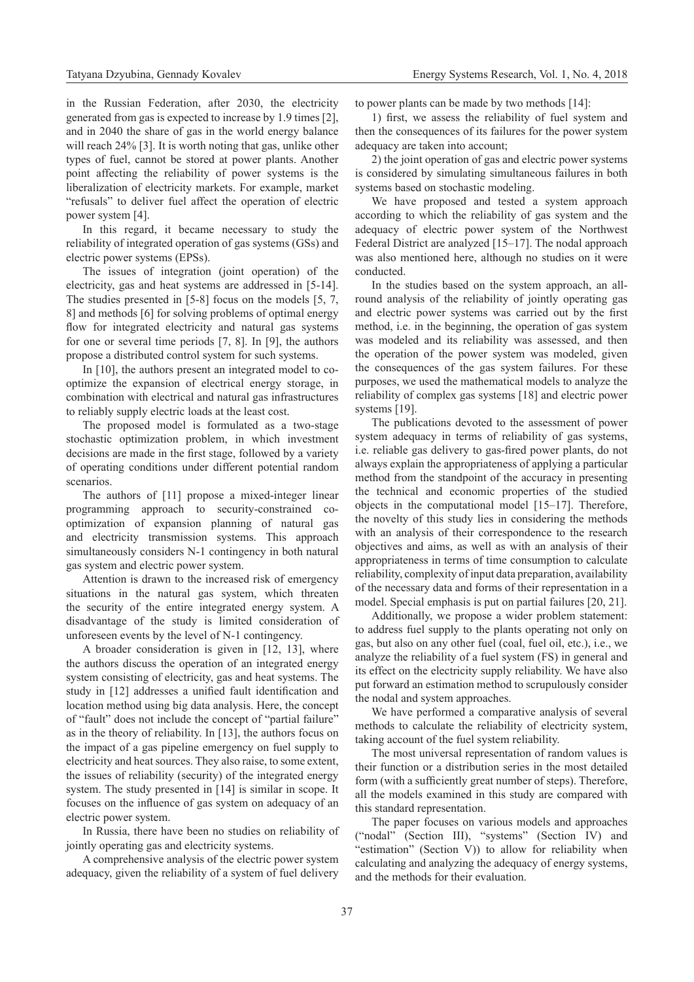in the Russian Federation, after 2030, the electricity generated from gas is expected to increase by 1.9 times [2], and in 2040 the share of gas in the world energy balance will reach 24% [3]. It is worth noting that gas, unlike other types of fuel, cannot be stored at power plants. Another point affecting the reliability of power systems is the liberalization of electricity markets. For example, market "refusals" to deliver fuel affect the operation of electric power system [4].

In this regard, it became necessary to study the reliability of integrated operation of gas systems (GSs) and electric power systems (EPSs).

The issues of integration (joint operation) of the electricity, gas and heat systems are addressed in [5-14]. The studies presented in [5-8] focus on the models [5, 7, 8] and methods [6] for solving problems of optimal energy flow for integrated electricity and natural gas systems for one or several time periods [7, 8]. In [9], the authors propose a distributed control system for such systems.

In [10], the authors present an integrated model to cooptimize the expansion of electrical energy storage, in combination with electrical and natural gas infrastructures to reliably supply electric loads at the least cost.

The proposed model is formulated as a two-stage stochastic optimization problem, in which investment decisions are made in the first stage, followed by a variety of operating conditions under different potential random scenarios.

The authors of [11] propose a mixed-integer linear programming approach to security-constrained cooptimization of expansion planning of natural gas and electricity transmission systems. This approach simultaneously considers N-1 contingency in both natural gas system and electric power system.

Attention is drawn to the increased risk of emergency situations in the natural gas system, which threaten the security of the entire integrated energy system. A disadvantage of the study is limited consideration of unforeseen events by the level of N-1 contingency.

A broader consideration is given in [12, 13], where the authors discuss the operation of an integrated energy system consisting of electricity, gas and heat systems. The study in [12] addresses a unified fault identification and location method using big data analysis. Here, the concept of "fault" does not include the concept of "partial failure" as in the theory of reliability. In [13], the authors focus on the impact of a gas pipeline emergency on fuel supply to electricity and heat sources. They also raise, to some extent, the issues of reliability (security) of the integrated energy system. The study presented in [14] is similar in scope. It focuses on the influence of gas system on adequacy of an electric power system.

In Russia, there have been no studies on reliability of jointly operating gas and electricity systems.

A comprehensive analysis of the electric power system adequacy, given the reliability of a system of fuel delivery to power plants can be made by two methods [14]:

1) first, we assess the reliability of fuel system and then the consequences of its failures for the power system adequacy are taken into account;

2) the joint operation of gas and electric power systems is considered by simulating simultaneous failures in both systems based on stochastic modeling.

We have proposed and tested a system approach according to which the reliability of gas system and the adequacy of electric power system of the Northwest Federal District are analyzed [15–17]. The nodal approach was also mentioned here, although no studies on it were conducted.

In the studies based on the system approach, an allround analysis of the reliability of jointly operating gas and electric power systems was carried out by the first method, i.e. in the beginning, the operation of gas system was modeled and its reliability was assessed, and then the operation of the power system was modeled, given the consequences of the gas system failures. For these purposes, we used the mathematical models to analyze the reliability of complex gas systems [18] and electric power systems [19].

The publications devoted to the assessment of power system adequacy in terms of reliability of gas systems, i.e. reliable gas delivery to gas-fired power plants, do not always explain the appropriateness of applying a particular method from the standpoint of the accuracy in presenting the technical and economic properties of the studied objects in the computational model [15–17]. Therefore, the novelty of this study lies in considering the methods with an analysis of their correspondence to the research objectives and aims, as well as with an analysis of their appropriateness in terms of time consumption to calculate reliability, complexity of input data preparation, availability of the necessary data and forms of their representation in a model. Special emphasis is put on partial failures [20, 21].

Additionally, we propose a wider problem statement: to address fuel supply to the plants operating not only on gas, but also on any other fuel (coal, fuel oil, etc.), i.e., we analyze the reliability of a fuel system (FS) in general and its effect on the electricity supply reliability. We have also put forward an estimation method to scrupulously consider the nodal and system approaches.

We have performed a comparative analysis of several methods to calculate the reliability of electricity system, taking account of the fuel system reliability.

The most universal representation of random values is their function or a distribution series in the most detailed form (with a sufficiently great number of steps). Therefore, all the models examined in this study are compared with this standard representation.

The paper focuses on various models and approaches ("nodal" (Section III), "systems" (Section IV) and "estimation" (Section V)) to allow for reliability when calculating and analyzing the adequacy of energy systems, and the methods for their evaluation.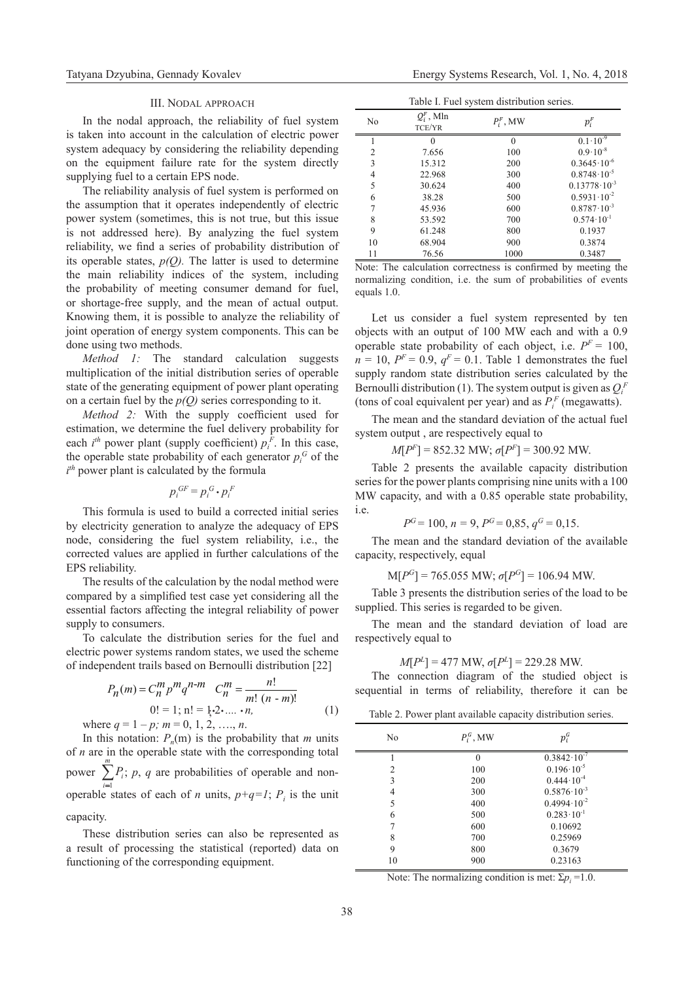### III. Nodal approach

In the nodal approach, the reliability of fuel system is taken into account in the calculation of electric power system adequacy by considering the reliability depending on the equipment failure rate for the system directly supplying fuel to a certain EPS node.

The reliability analysis of fuel system is performed on the assumption that it operates independently of electric power system (sometimes, this is not true, but this issue is not addressed here). By analyzing the fuel system reliability, we find a series of probability distribution of its operable states,  $p(Q)$ . The latter is used to determine the main reliability indices of the system, including the probability of meeting consumer demand for fuel, or shortage-free supply, and the mean of actual output. Knowing them, it is possible to analyze the reliability of joint operation of energy system components. This can be done using two methods.

*Method 1:* The standard calculation suggests multiplication of the initial distribution series of operable state of the generating equipment of power plant operating on a certain fuel by the *p(Q)* series corresponding to it.

*Method 2:* With the supply coefficient used for estimation, we determine the fuel delivery probability for each  $i^{th}$  power plant (supply coefficient)  $p_i^F$ . In this case, the operable state probability of each generator  $p_i^G$  of the *i th* power plant is calculated by the formula

$$
p_i^{GF} = p_i^G \cdot p_i^F
$$

This formula is used to build a corrected initial series by electricity generation to analyze the adequacy of EPS node, considering the fuel system reliability, i.e., the corrected values are applied in further calculations of the EPS reliability.

The results of the calculation by the nodal method were compared by a simplified test case yet considering all the essential factors affecting the integral reliability of power supply to consumers.

To calculate the distribution series for the fuel and electric power systems random states, we used the scheme of independent trails based on Bernoulli distribution [22]

$$
P_n(m) = C_n^m p^m q^{n-m} \t C_n^m = \frac{n!}{m! (n-m)!}
$$
  
0! = 1; n! = 1,2,...,n,  
where  $q = 1 - p$ ;  $m = 0, 1, 2, ..., n$ . (1)

In this notation:  $P_n(m)$  is the probability that *m* units of *n* are in the operable state with the corresponding total power  $\sum_{i=1}^{m} P_i$ ; *p*, *q* are probabilities of operable and nonoperable states of each of *n* units,  $p+q=1$ ;  $P_i$  is the unit capacity.

These distribution series can also be represented as a result of processing the statistical (reported) data on functioning of the corresponding equipment.

| Table I. Fuel system distribution series. |
|-------------------------------------------|
|-------------------------------------------|

| No             | $\overline{\phantom{a}}$<br>$Q_i^F$ , Mln<br>TCE/YR | $P_i^F$ , MW | $p_i^F$                 |
|----------------|-----------------------------------------------------|--------------|-------------------------|
|                | 0                                                   | $\Omega$     | $0.1 \cdot 10^{-9}$     |
| $\overline{c}$ | 7.656                                               | 100          | $0.9 \cdot 10^{-8}$     |
| 3              | 15.312                                              | 200          | $0.3645 \cdot 10^{-6}$  |
| 4              | 22.968                                              | 300          | $0.8748 \cdot 10^{-5}$  |
| 5              | 30.624                                              | 400          | $0.13778 \cdot 10^{-3}$ |
| 6              | 38.28                                               | 500          | $0.5931 \cdot 10^{-2}$  |
|                | 45.936                                              | 600          | $0.8787 \cdot 10^{-3}$  |
| 8              | 53.592                                              | 700          | $0.574 \cdot 10^{-1}$   |
| 9              | 61.248                                              | 800          | 0.1937                  |
| 10             | 68.904                                              | 900          | 0.3874                  |
| 11             | 76.56                                               | 1000         | 0.3487                  |

Note: The calculation correctness is confirmed by meeting the normalizing condition, i.е. the sum of probabilities of events equals 1.0.

Let us consider a fuel system represented by ten objects with an output of 100 MW each and with a 0.9 operable state probability of each object, i.e.  $P^F = 100$ ,  $n = 10$ ,  $P<sup>F</sup> = 0.9$ ,  $q<sup>F</sup> = 0.1$ . Table 1 demonstrates the fuel supply random state distribution series calculated by the Bernoulli distribution (1). The system output is given as  $Q_i^F$ (tons of coal equivalent per year) and as  $P_i^F$  (megawatts).

The mean and the standard deviation of the actual fuel system output , are respectively equal to

 $M[P<sup>F</sup>] = 852.32 \text{ MW}; \sigma[P<sup>F</sup>] = 300.92 \text{ MW}.$ 

Table 2 presents the available capacity distribution series for the power plants comprising nine units with a 100 МW capacity, and with a 0.85 operable state probability, i e

$$
P^G = 100, n = 9, P^G = 0,85, q^G = 0,15.
$$

The mean and the standard deviation of the available capacity, respectively, equal

 $M[P<sup>G</sup>] = 765.055 MW; \sigma[P<sup>G</sup>] = 106.94 MW.$ 

Table 3 presents the distribution series of the load to be supplied. This series is regarded to be given.

The mean and the standard deviation of load are respectively equal to

$$
M[P^L] = 477
$$
 MW,  $\sigma[P^L] = 229.28$  MW.

The connection diagram of the studied object is sequential in terms of reliability, therefore it can be

|  |  | Table 2. Power plant available capacity distribution series. |  |
|--|--|--------------------------------------------------------------|--|
|  |  |                                                              |  |
|  |  |                                                              |  |
|  |  |                                                              |  |

| No | $P_i^G$ , MW | $p_i^{\mathcal{G}}$    |  |
|----|--------------|------------------------|--|
|    | O            | $0.3842 \cdot 10^{-7}$ |  |
| 2  | 100          | $0.196 \cdot 10^{-5}$  |  |
| 3  | 200          | $0.444 \cdot 10^{-4}$  |  |
| 4  | 300          | $0.5876 \cdot 10^{-3}$ |  |
| 5  | 400          | $0.4994 \cdot 10^{-2}$ |  |
| 6  | 500          | $0.283 \cdot 10^{-1}$  |  |
|    | 600          | 0.10692                |  |
| 8  | 700          | 0.25969                |  |
| 9  | 800          | 0.3679                 |  |
| 10 | 900          | 0.23163                |  |

Note: The normalizing condition is met:  $\Sigma p_i = 1.0$ .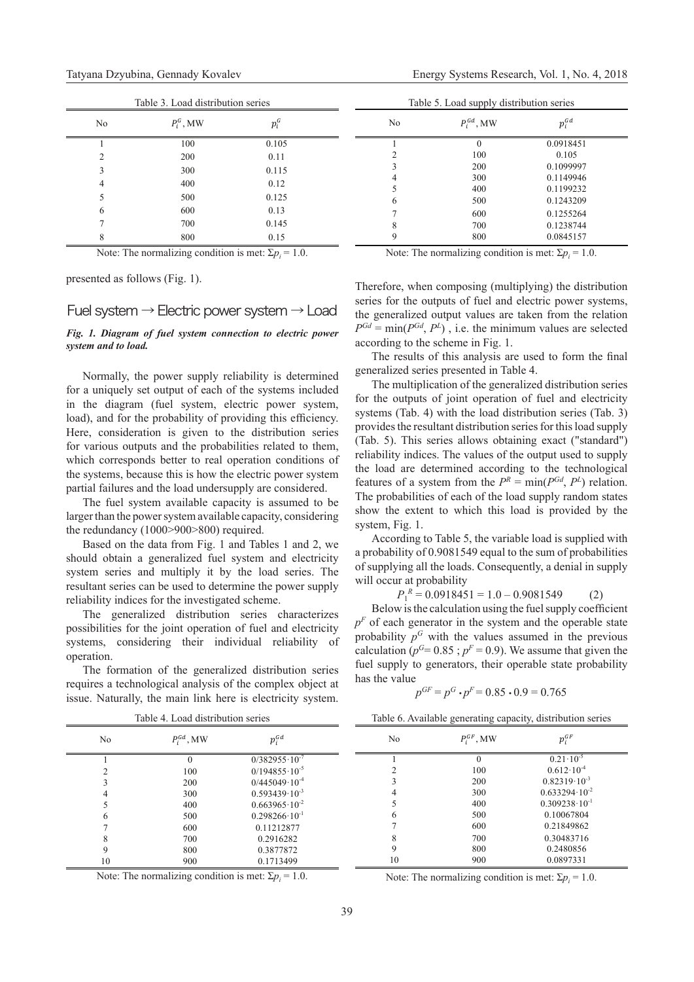| Table 3. Load distribution series |              |         |    | Table 5. Load supply distribution series |            |
|-----------------------------------|--------------|---------|----|------------------------------------------|------------|
| N <sub>0</sub>                    | $P_i^G$ , MW | $p_i^G$ | No | $P_i^{Gd}$ , MW                          | $p_i^{Gd}$ |
|                                   | 100          | 0.105   |    |                                          | 0.0918451  |
|                                   | 200          | 0.11    |    | 100                                      | 0.105      |
|                                   | 300          | 0.115   |    | 200                                      | 0.1099997  |
|                                   | 400          | 0.12    |    | 300                                      | 0.1149946  |
|                                   |              |         |    | 400                                      | 0.1199232  |
|                                   | 500          | 0.125   | 6  | 500                                      | 0.1243209  |
| 6                                 | 600          | 0.13    |    | 600                                      | 0.1255264  |
|                                   | 700          | 0.145   |    | 700                                      | 0.1238744  |
|                                   | 800          | 0.15    |    | 800                                      | 0.0845157  |
|                                   |              |         |    |                                          |            |

Note: The normalizing condition is met:  $\Sigma p_i = 1.0$ .

presented as follows (Fig. 1).

# Fuel system  $\rightarrow$  Electric power system  $\rightarrow$  Load

# *Fig. 1. Diagram of fuel system connection to electric power system and to load.*

Normally, the power supply reliability is determined for a uniquely set output of each of the systems included in the diagram (fuel system, electric power system, load), and for the probability of providing this efficiency. Here, consideration is given to the distribution series for various outputs and the probabilities related to them, which corresponds better to real operation conditions of the systems, because this is how the electric power system partial failures and the load undersupply are considered.

The fuel system available capacity is assumed to be larger than the power system available capacity, considering the redundancy (1000>900>800) required.

Based on the data from Fig. 1 and Tables 1 and 2, we should obtain a generalized fuel system and electricity system series and multiply it by the load series. The resultant series can be used to determine the power supply reliability indices for the investigated scheme.

The generalized distribution series characterizes possibilities for the joint operation of fuel and electricity systems, considering their individual reliability of operation.

The formation of the generalized distribution series requires a technological analysis of the complex object at issue. Naturally, the main link here is electricity system.

 $= 1.0.$  Note: The normalizing condition is met:  $\Sigma p_i = 1.0.$ 

Therefore, when composing (multiplying) the distribution series for the outputs of fuel and electric power systems, the generalized output values are taken from the relation  $P^{Gd} = \min(P^{Gd}, P^L)$ , i.e. the minimum values are selected according to the scheme in Fig. 1.

The results of this analysis are used to form the final generalized series presented in Table 4.

The multiplication of the generalized distribution series for the outputs of joint operation of fuel and electricity systems (Tab. 4) with the load distribution series (Tab. 3) provides the resultant distribution series for this load supply (Tab. 5). This series allows obtaining exact ("standard") reliability indices. The values of the output used to supply the load are determined according to the technological features of a system from the  $P^R = \min(P^{Gd}, P^L)$  relation. The probabilities of each of the load supply random states show the extent to which this load is provided by the system, Fig. 1.

According to Table 5, the variable load is supplied with a probability of 0.9081549 equal to the sum of probabilities of supplying all the loads. Consequently, a denial in supply will occur at probability

 $P_1^R = 0.0918451 = 1.0 - 0.9081549$  (2)

Below is the calculation using the fuel supply coefficient  $p<sup>F</sup>$  of each generator in the system and the operable state probability  $p<sup>G</sup>$  with the values assumed in the previous calculation ( $p^G$ = 0.85;  $p^F$  = 0.9). We assume that given the fuel supply to generators, their operable state probability has the value

$$
p^{GF} = p^G \cdot p^F = 0.85 \cdot 0.9 = 0.765
$$

| Table 4. Load distribution series |                 |                          |    |                 | Table 6. Available generating capacity, distribution series |
|-----------------------------------|-----------------|--------------------------|----|-----------------|-------------------------------------------------------------|
| No                                | $P_i^{Gd}$ , MW | $p_i^{Gd}$               | No | $P_i^{GF}$ , MW | $p_i^{GF}$                                                  |
|                                   |                 | $0/382955 \cdot 10^{-7}$ |    |                 | $0.21 \cdot 10^{-5}$                                        |
|                                   | 100             | $0/194855 \cdot 10^{-5}$ |    | 100             | $0.612 \cdot 10^{-4}$                                       |
|                                   | 200             | $0/445049 \cdot 10^{-4}$ |    | 200             | $0.82319 \cdot 10^{-3}$                                     |
|                                   | 300             | $0.593439 \cdot 10^{-3}$ |    | 300             | $0.633294 \cdot 10^{-2}$                                    |
|                                   | 400             | $0.663965 \cdot 10^{-2}$ |    | 400             | $0.309238 \cdot 10^{-1}$                                    |
|                                   | 500             | $0.298266 \cdot 10^{-1}$ |    | 500             | 0.10067804                                                  |
|                                   | 600             | 0.11212877               |    | 600             | 0.21849862                                                  |
|                                   | 700             | 0.2916282                |    | 700             | 0.30483716                                                  |
|                                   | 800             | 0.3877872                |    | 800             | 0.2480856                                                   |
| 10                                | 900             | 0.1713499                | 10 | 900             | 0.0897331                                                   |

Note: The normalizing condition is met:  $\Sigma p_i = 1.0$ .

 $= 1.0.$  Note: The normalizing condition is met:  $\Sigma p_i = 1.0.$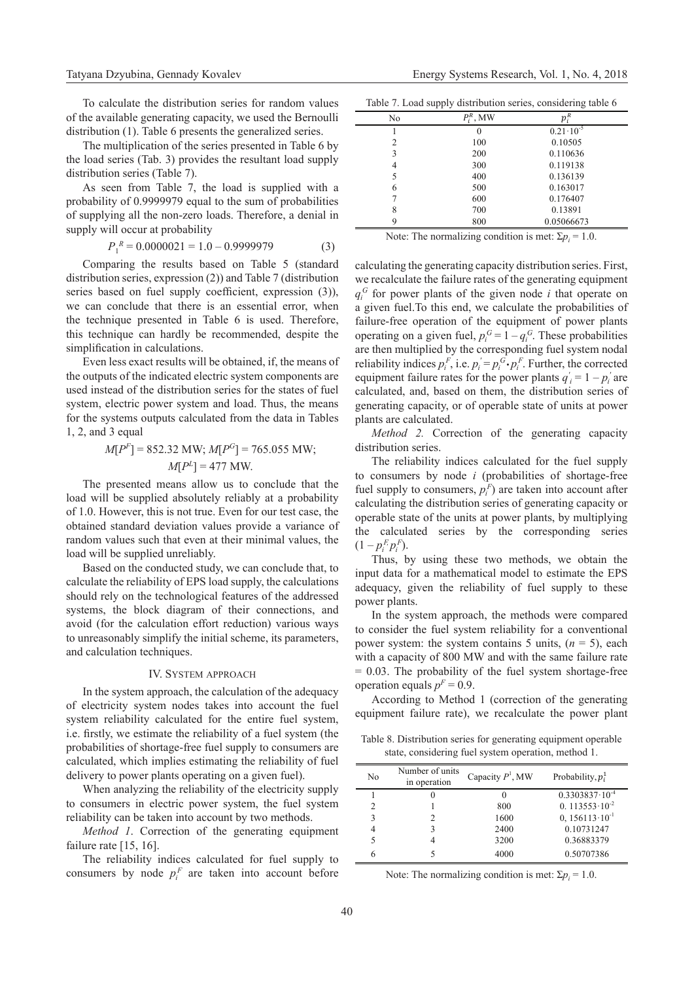To calculate the distribution series for random values of the available generating capacity, we used the Bernoulli distribution (1). Table 6 presents the generalized series.

The multiplication of the series presented in Table 6 by the load series (Tab. 3) provides the resultant load supply distribution series (Table 7).

As seen from Table 7, the load is supplied with a probability of 0.9999979 equal to the sum of probabilities of supplying all the non-zero loads. Therefore, a denial in supply will occur at probability

$$
P_1^{\ R} = 0.0000021 = 1.0 - 0.9999979\tag{3}
$$

Comparing the results based on Table 5 (standard distribution series, expression (2)) and Table 7 (distribution series based on fuel supply coefficient, expression (3)), we can conclude that there is an essential error, when the technique presented in Table 6 is used. Therefore, this technique can hardly be recommended, despite the simplification in calculations.

Even less exact results will be obtained, if, the means of the outputs of the indicated electric system components are used instead of the distribution series for the states of fuel system, electric power system and load. Thus, the means for the systems outputs calculated from the data in Tables 1, 2, and 3 equal

# $M[P<sup>F</sup>] = 852.32 \text{ MW}; M[P<sup>G</sup>] = 765.055 \text{ MW};$  $M[P^L] = 477$  MW.

The presented means allow us to conclude that the load will be supplied absolutely reliably at a probability of 1.0. However, this is not true. Even for our test case, the obtained standard deviation values provide a variance of random values such that even at their minimal values, the load will be supplied unreliably.

Based on the conducted study, we can conclude that, to calculate the reliability of EPS load supply, the calculations should rely on the technological features of the addressed systems, the block diagram of their connections, and avoid (for the calculation effort reduction) various ways to unreasonably simplify the initial scheme, its parameters, and calculation techniques.

### IV. System approach

In the system approach, the calculation of the adequacy of electricity system nodes takes into account the fuel system reliability calculated for the entire fuel system, i.e. firstly, we estimate the reliability of a fuel system (the probabilities of shortage-free fuel supply to consumers are calculated, which implies estimating the reliability of fuel delivery to power plants operating on a given fuel).

When analyzing the reliability of the electricity supply to consumers in electric power system, the fuel system reliability can be taken into account by two methods.

*Method 1*. Correction of the generating equipment failure rate [15, 16].

The reliability indices calculated for fuel supply to consumers by node  $p_i^F$  are taken into account before

|  |  | Table 7. Load supply distribution series, considering table 6 |  |
|--|--|---------------------------------------------------------------|--|
|  |  |                                                               |  |
|  |  |                                                               |  |

| No             | $\tilde{\mathfrak{m}}$ , MW | $p_i$                |  |
|----------------|-----------------------------|----------------------|--|
|                | 0                           | $0.21 \cdot 10^{-5}$ |  |
| $\overline{c}$ | 100                         | 0.10505              |  |
| 3              | 200                         | 0.110636             |  |
| 4              | 300                         | 0.119138             |  |
| 5              | 400                         | 0.136139             |  |
| 6              | 500                         | 0.163017             |  |
|                | 600                         | 0.176407             |  |
| 8              | 700                         | 0.13891              |  |
| Q              | 800                         | 0.05066673           |  |

Note: The normalizing condition is met:  $\Sigma p_i = 1.0$ .

calculating the generating capacity distribution series. First, we recalculate the failure rates of the generating equipment  $q_i^G$  for power plants of the given node *i* that operate on a given fuel.To this end, we calculate the probabilities of failure-free operation of the equipment of power plants operating on a given fuel,  $p_i^G = 1 - q_i^G$ . These probabilities are then multiplied by the corresponding fuel system nodal reliability indices  $p_i^F$ , i.e.  $p_i^{\prime} = p_i^G \cdot p_i^F$ . Further, the corrected equipment failure rates for the power plants  $q'_i = 1 - p'_i$  are calculated, and, based on them, the distribution series of generating capacity, or of operable state of units at power plants are calculated.

*Method 2.* Correction of the generating capacity distribution series.

The reliability indices calculated for the fuel supply to consumers by node *i* (probabilities of shortage-free fuel supply to consumers,  $p_i^F$ ) are taken into account after calculating the distribution series of generating capacity or operable state of the units at power plants, by multiplying the calculated series by the corresponding series  $(1 - p_i^F p_i^F)$ .

Thus, by using these two methods, we obtain the input data for a mathematical model to estimate the EPS adequacy, given the reliability of fuel supply to these power plants.

In the system approach, the methods were compared to consider the fuel system reliability for a conventional power system: the system contains 5 units, (*n* = 5), each with a capacity of 800 МW and with the same failure rate  $= 0.03$ . The probability of the fuel system shortage-free operation equals  $p<sup>F</sup> = 0.9$ .

According to Method 1 (correction of the generating equipment failure rate), we recalculate the power plant

Table 8. Distribution series for generating equipment operable state, considering fuel system operation, method 1.

| No | Number of units<br>in operation | Capacity $P1$ , MW | Probability, $p_i^1$      |
|----|---------------------------------|--------------------|---------------------------|
|    |                                 |                    | $0.3303837 \cdot 10^{-4}$ |
| 2  |                                 | 800                | 0. $113553 \cdot 10^{-2}$ |
| 3  |                                 | 1600               | $0, 156113 \cdot 10^{-1}$ |
|    |                                 | 2400               | 0.10731247                |
|    |                                 | 3200               | 0.36883379                |
|    |                                 | 4000               | 0.50707386                |

Note: The normalizing condition is met:  $\Sigma p_i = 1.0$ .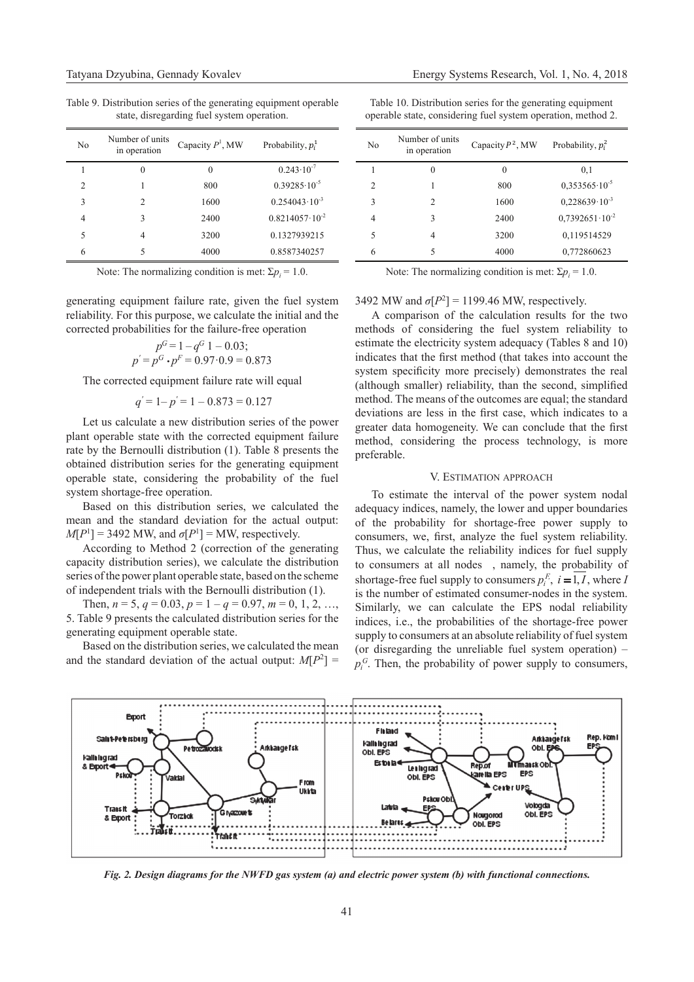Table 9. Distribution series of the generating equipment operable state, disregarding fuel system operation.

| No             | Number of units<br>in operation | Capacity $P1$ , MW | Probability, $p_i^1$      |
|----------------|---------------------------------|--------------------|---------------------------|
|                | $\Omega$                        | $\Omega$           | $0.243 \cdot 10^{-7}$     |
| $\mathfrak{D}$ |                                 | 800                | $0.39285 \cdot 10^{-5}$   |
| 3              | $\mathcal{D}$                   | 1600               | $0.254043 \cdot 10^{-3}$  |
| 4              | ٦                               | 2400               | $0.8214057 \cdot 10^{-2}$ |
| 5              | 4                               | 3200               | 0.1327939215              |
| 6              |                                 | 4000               | 0.8587340257              |

Note: The normalizing condition is met:  $\Sigma p_i = 1.0$ .

generating equipment failure rate, given the fuel system reliability. For this purpose, we calculate the initial and the corrected probabilities for the failure-free operation

$$
p^{G} = 1 - q^{G} 1 - 0.03;
$$
  

$$
p' = p^{G} \cdot p^{F} = 0.97 \cdot 0.9 = 0.873
$$

The corrected equipment failure rate will equal

$$
q' = 1 - p' = 1 - 0.873 = 0.127
$$

Let us calculate a new distribution series of the power plant operable state with the corrected equipment failure rate by the Bernoulli distribution (1). Table 8 presents the obtained distribution series for the generating equipment operable state, considering the probability of the fuel system shortage-free operation.

Based on this distribution series, we calculated the mean and the standard deviation for the actual output:  $M[P^1] = 3492$  MW, and  $\sigma[P^1] = MW$ , respectively.

According to Method 2 (correction of the generating capacity distribution series), we calculate the distribution series of the power plant operable state, based on the scheme of independent trials with the Bernoulli distribution (1).

Then,  $n = 5$ ,  $q = 0.03$ ,  $p = 1 - q = 0.97$ ,  $m = 0, 1, 2, ...$ 5. Table 9 presents the calculated distribution series for the generating equipment operable state.

Based on the distribution series, we calculated the mean and the standard deviation of the actual output:  $M[P^2] =$ 

Table 10. Distribution series for the generating equipment operable state, considering fuel system operation, method 2.

| N <sub>0</sub>           | Number of units<br>in operation | Capacity $P^2$ , MW | Probability, $p_i^2$      |
|--------------------------|---------------------------------|---------------------|---------------------------|
|                          | 0                               | 0                   | 0,1                       |
| $\mathfrak{D}$           |                                 | 800                 | $0,353565 \cdot 10^{-5}$  |
| 3                        | $\mathcal{D}$                   | 1600                | $0.228639 \cdot 10^{-3}$  |
| 4                        | 3                               | 2400                | $0.7392651 \cdot 10^{-2}$ |
| $\overline{\phantom{0}}$ | 4                               | 3200                | 0,119514529               |
| 6                        | 5                               | 4000                | 0,772860623               |

Note: The normalizing condition is met:  $\Sigma p_i = 1.0$ .

# 3492 MW and  $\sigma[P^2] = 1199.46$  MW, respectively.

A comparison of the calculation results for the two methods of considering the fuel system reliability to estimate the electricity system adequacy (Tables 8 and 10) indicates that the first method (that takes into account the system specificity more precisely) demonstrates the real (although smaller) reliability, than the second, simplified method. The means of the outcomes are equal; the standard deviations are less in the first case, which indicates to a greater data homogeneity. We can conclude that the first method, considering the process technology, is more preferable.

## V. Estimation approach

To estimate the interval of the power system nodal adequacy indices, namely, the lower and upper boundaries of the probability for shortage-free power supply to consumers, we, first, analyze the fuel system reliability. Thus, we calculate the reliability indices for fuel supply to consumers at all nodes , namely, the probability of shortage-free fuel supply to consumers  $p_i^E$ ,  $i = 1, I$ , where *I* is the number of estimated consumer-nodes in the system. Similarly, we can calculate the EPS nodal reliability indices, i.e., the probabilities of the shortage-free power supply to consumers at an absolute reliability of fuel system (or disregarding the unreliable fuel system operation) –  $p_i^G$ . Then, the probability of power supply to consumers,



*Fig. 2. Design diagrams for the NWFD gas system (а) and electric power system (b) with functional connections.*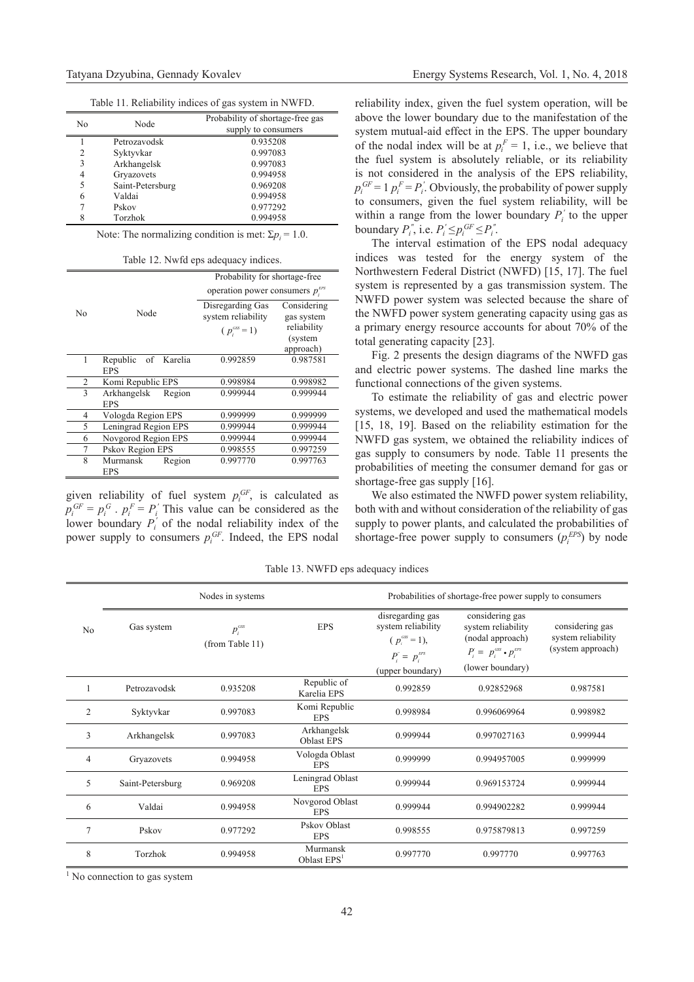Table 11. Reliability indices of gas system in NWFD.

| No | Node             | Probability of shortage-free gas<br>supply to consumers |
|----|------------------|---------------------------------------------------------|
|    | Petrozavodsk     | 0.935208                                                |
| 2  | Syktyvkar        | 0.997083                                                |
| 3  | Arkhangelsk      | 0.997083                                                |
| 4  | Gryazovets       | 0.994958                                                |
| 5  | Saint-Petersburg | 0.969208                                                |
| 6  | Valdai           | 0.994958                                                |
|    | Pskov            | 0.977292                                                |
| 8  | Torzhok          | 0.994958                                                |

Note: The normalizing condition is met:  $\Sigma p_i = 1.0$ .

Table 12. Nwfd eps adequacy indices.

|               |                                  | Probability for shortage-free         |                        |  |  |
|---------------|----------------------------------|---------------------------------------|------------------------|--|--|
|               |                                  | operation power consumers $p_i^{EPS}$ |                        |  |  |
| No            | Node                             | Disregarding Gas                      | Considering            |  |  |
|               |                                  | system reliability                    | gas system             |  |  |
|               |                                  | $(p_i^{\text{GSS}}=1)$                | reliability<br>(system |  |  |
|               |                                  |                                       | approach)              |  |  |
|               | Republic of Karelia              | 0.992859                              | 0.987581               |  |  |
|               | <b>EPS</b>                       |                                       |                        |  |  |
| 2             | Komi Republic EPS                | 0.998984                              | 0.998982               |  |  |
| $\mathcal{E}$ | Arkhangelsk Region               | 0.999944                              | 0.999944               |  |  |
|               | <b>EPS</b>                       |                                       |                        |  |  |
| 4             | Vologda Region EPS               | 0.999999                              | 0.999999               |  |  |
| 5             | Leningrad Region EPS             | 0.999944                              | 0.999944               |  |  |
| 6             | Novgorod Region EPS              | 0.999944                              | 0.999944               |  |  |
| 7             | Pskov Region EPS                 | 0.998555                              | 0.997259               |  |  |
| 8             | Murmansk<br>Region<br><b>EPS</b> | 0.997770                              | 0.997763               |  |  |

given reliability of fuel system  $p_i^{GF}$ , is calculated as  $p_i^{GF} = p_i^G \cdot p_i^F = P_i'$  This value can be considered as the lower boundary  $P_i'$  of the nodal reliability index of the power supply to consumers  $p_i^{GF}$ . Indeed, the EPS nodal

reliability index, given the fuel system operation, will be above the lower boundary due to the manifestation of the system mutual-aid effect in the EPS. The upper boundary of the nodal index will be at  $p_i^F = 1$ , i.e., we believe that the fuel system is absolutely reliable, or its reliability is not considered in the analysis of the EPS reliability,  $p_i^{GF} = 1 \ p_i^F = P_i'$ . Obviously, the probability of power supply to consumers, given the fuel system reliability, will be within a range from the lower boundary  $P_i'$  to the upper boundary  $P_i^{"},$  i.e.  $P_i^{'} \leq p_i^{GF} \leq P_i^{"}$ .

The interval estimation of the EPS nodal adequacy indices was tested for the energy system of the Northwestern Federal District (NWFD) [15, 17]. The fuel system is represented by a gas transmission system. The NWFD power system was selected because the share of the NWFD power system generating capacity using gas as a primary energy resource accounts for about 70% of the total generating capacity [23].

Fig. 2 presents the design diagrams of the NWFD gas and electric power systems. The dashed line marks the functional connections of the given systems.

To estimate the reliability of gas and electric power systems, we developed and used the mathematical models [15, 18, 19]. Based on the reliability estimation for the NWFD gas system, we obtained the reliability indices of gas supply to consumers by node. Table 11 presents the probabilities of meeting the consumer demand for gas or shortage-free gas supply [16].

We also estimated the NWFD power system reliability, both with and without consideration of the reliability of gas supply to power plants, and calculated the probabilities of shortage-free power supply to consumers  $(p_i^{EPS})$  by node

Table 13. NWFD eps adequacy indices

|                | Nodes in systems |                                       |                                  | Probabilities of shortage-free power supply to consumers                                                |                                                                                                                                  |                                                            |
|----------------|------------------|---------------------------------------|----------------------------------|---------------------------------------------------------------------------------------------------------|----------------------------------------------------------------------------------------------------------------------------------|------------------------------------------------------------|
| No             | Gas system       | $p_i^{\text{GSS}}$<br>(from Table 11) | <b>EPS</b>                       | disregarding gas<br>system reliability<br>$(p_{.}^{css}=1),$<br>$P_i^r = p_i^{EPS}$<br>(upper boundary) | considering gas<br>system reliability<br>(nodal approach)<br>$P_i = p_i^{\text{css}} \cdot p_i^{\text{EPS}}$<br>(lower boundary) | considering gas<br>system reliability<br>(system approach) |
|                | Petrozavodsk     | 0.935208                              | Republic of<br>Karelia EPS       | 0.992859                                                                                                | 0.92852968                                                                                                                       | 0.987581                                                   |
| $\overline{2}$ | Syktyvkar        | 0.997083                              | Komi Republic<br><b>EPS</b>      | 0.998984                                                                                                | 0.996069964                                                                                                                      | 0.998982                                                   |
| 3              | Arkhangelsk      | 0.997083                              | Arkhangelsk<br><b>Oblast EPS</b> | 0.999944                                                                                                | 0.997027163                                                                                                                      | 0.999944                                                   |
| 4              | Gryazovets       | 0.994958                              | Vologda Oblast<br><b>EPS</b>     | 0.999999                                                                                                | 0.994957005                                                                                                                      | 0.999999                                                   |
| 5              | Saint-Petersburg | 0.969208                              | Leningrad Oblast<br><b>EPS</b>   | 0.999944                                                                                                | 0.969153724                                                                                                                      | 0.999944                                                   |
| 6              | Valdai           | 0.994958                              | Novgorod Oblast<br><b>EPS</b>    | 0.999944                                                                                                | 0.994902282                                                                                                                      | 0.999944                                                   |
| 7              | Pskov            | 0.977292                              | Pskov Oblast<br><b>EPS</b>       | 0.998555                                                                                                | 0.975879813                                                                                                                      | 0.997259                                                   |
| 8              | Torzhok          | 0.994958                              | Murmansk<br>Oblast $EPS1$        | 0.997770                                                                                                | 0.997770                                                                                                                         | 0.997763                                                   |

<sup>1</sup> No connection to gas system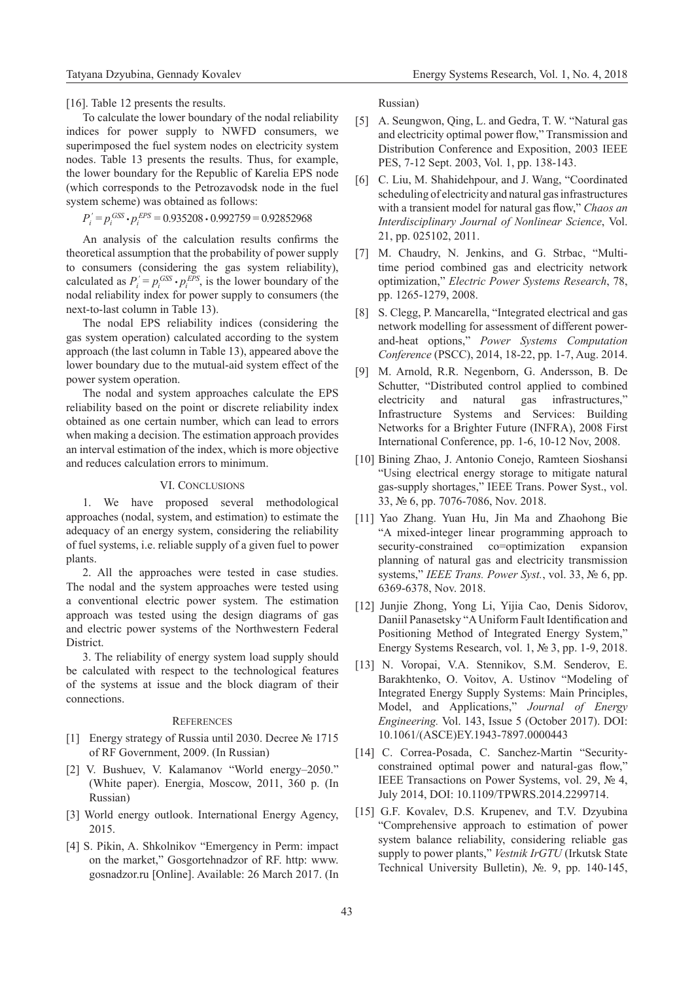[16]. Table 12 presents the results.

To calculate the lower boundary of the nodal reliability indices for power supply to NWFD consumers, we superimposed the fuel system nodes on electricity system nodes. Table 13 presents the results. Thus, for example, the lower boundary for the Republic of Karelia EPS node (which corresponds to the Petrozavodsk node in the fuel system scheme) was obtained as follows:

 $P_i' = p_i^{\text{GSS}} \cdot p_i^{\text{EPS}} = 0.935208 \cdot 0.992759 = 0.92852968$ 

An analysis of the calculation results confirms the theoretical assumption that the probability of power supply to consumers (considering the gas system reliability), calculated as  $P_i' = p_i^{GSS} \cdot p_i^{EPS}$ , is the lower boundary of the nodal reliability index for power supply to consumers (the next-to-last column in Table 13).

The nodal EPS reliability indices (considering the gas system operation) calculated according to the system approach (the last column in Table 13), appeared above the lower boundary due to the mutual-aid system effect of the power system operation.

The nodal and system approaches calculate the EPS reliability based on the point or discrete reliability index obtained as one certain number, which can lead to errors when making a decision. The estimation approach provides an interval estimation of the index, which is more objective and reduces calculation errors to minimum.

# VI. CONCLUSIONS

1. We have proposed several methodological approaches (nodal, system, and estimation) to estimate the adequacy of an energy system, considering the reliability of fuel systems, i.e. reliable supply of a given fuel to power plants.

2. All the approaches were tested in case studies. The nodal and the system approaches were tested using a conventional electric power system. The estimation approach was tested using the design diagrams of gas and electric power systems of the Northwestern Federal District.

3. The reliability of energy system load supply should be calculated with respect to the technological features of the systems at issue and the block diagram of their connections.

## **REFERENCES**

- [1] Energy strategy of Russia until 2030. Decree № 1715 of RF Government, 2009. (In Russian)
- [2] V. Bushuev, V. Kalamanov "World energy–2050." (White paper). Energia, Moscow, 2011, 360 p. (In Russian)
- [3] World energy outlook. International Energy Agency, 2015.
- [4] S. Pikin, A. Shkolnikov "Emergency in Perm: impact on the market," Gosgortehnadzor of RF. http: www. gosnadzor.ru [Online]. Available: 26 March 2017. (In

Russian)

- [5] A. Seungwon, Qing, L. and Gedra, T. W. "Natural gas and electricity optimal power flow," Transmission and Distribution Conference and Exposition, 2003 IEEE PES, 7-12 Sept. 2003, Vol. 1, pp. 138-143.
- [6] C. Liu, M. Shahidehpour, and J. Wang, "Coordinated scheduling of electricity and natural gas infrastructures with a transient model for natural gas flow," *Chaos an Interdisciplinary Journal of Nonlinear Science*, Vol. 21, pp. 025102, 2011.
- [7] M. Chaudry, N. Jenkins, and G. Strbac, "Multitime period combined gas and electricity network optimization," *Electric Power Systems Research*, 78, pp. 1265-1279, 2008.
- [8] S. Clegg, P. Mancarella, "Integrated electrical and gas network modelling for assessment of different powerand-heat options," *Power Systems Computation Conference* (PSCC), 2014, 18-22, pp. 1-7, Aug. 2014.
- [9] M. Arnold, R.R. Negenborn, G. Andersson, B. De Schutter, "Distributed control applied to combined electricity and natural gas infrastructures," Infrastructure Systems and Services: Building Networks for a Brighter Future (INFRA), 2008 First International Conference, pp. 1-6, 10-12 Nov, 2008.
- [10] Bining Zhao, J. Antonio Conejo, Ramteen Sioshansi "Using electrical energy storage to mitigate natural gas-supply shortages," IEEE Trans. Power Syst., vol. 33, № 6, pp. 7076-7086, Nov. 2018.
- [11] Yao Zhang. Yuan Hu, Jin Ma and Zhaohong Bie "A mixed-integer linear programming approach to security-constrained co=optimization expansion planning of natural gas and electricity transmission systems," *IEEE Trans. Power Syst.*, vol. 33, № 6, pp. 6369-6378, Nov. 2018.
- [12] Junjie Zhong, Yong Li, Yijia Cao, Denis Sidorov, Daniil Panasetsky "A Uniform Fault Identification and Positioning Method of Integrated Energy System," Energy Systems Research, vol. 1, № 3, pp. 1-9, 2018.
- [13] N. Voropai, V.A. Stennikov, S.M. Senderov, E. Barakhtenko, O. Voitov, A. Ustinov "Modeling of Integrated Energy Supply Systems: Main Principles, Model, and Applications," *Journal of Energy Engineering.* Vol. 143, Issue 5 (October 2017). DOI: 10.1061/(ASCE)EY.1943-7897.0000443
- [14] C. Correa-Posada, C. Sanchez-Martin "Securityconstrained optimal power and natural-gas flow," IEEE Transactions on Power Systems, vol. 29, № 4, July 2014, DOI: 10.1109/TPWRS.2014.2299714.
- [15] G.F. Kovalev, D.S. Krupenev, and T.V. Dzyubina "Comprehensive approach to estimation of power system balance reliability, considering reliable gas supply to power plants," *Vestnik IrGTU* (Irkutsk State Technical University Bulletin), №. 9, pp. 140-145,